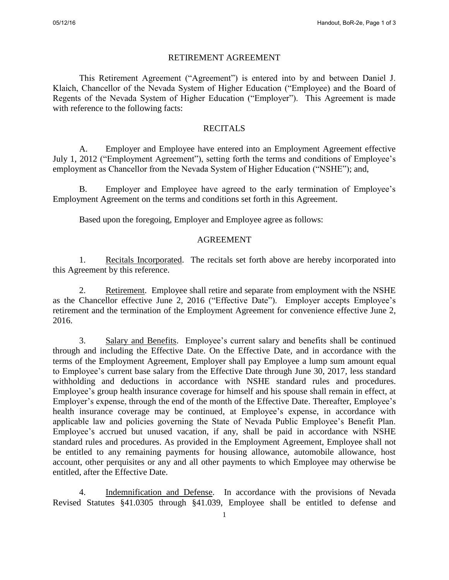## RETIREMENT AGREEMENT

This Retirement Agreement ("Agreement") is entered into by and between Daniel J. Klaich, Chancellor of the Nevada System of Higher Education ("Employee) and the Board of Regents of the Nevada System of Higher Education ("Employer"). This Agreement is made with reference to the following facts:

## **RECITALS**

A. Employer and Employee have entered into an Employment Agreement effective July 1, 2012 ("Employment Agreement"), setting forth the terms and conditions of Employee's employment as Chancellor from the Nevada System of Higher Education ("NSHE"); and,

 B. Employer and Employee have agreed to the early termination of Employee's Employment Agreement on the terms and conditions set forth in this Agreement.

Based upon the foregoing, Employer and Employee agree as follows:

## AGREEMENT

 1. Recitals Incorporated. The recitals set forth above are hereby incorporated into this Agreement by this reference.

 2. Retirement. Employee shall retire and separate from employment with the NSHE as the Chancellor effective June 2, 2016 ("Effective Date"). Employer accepts Employee's retirement and the termination of the Employment Agreement for convenience effective June 2, 2016.

 3. Salary and Benefits. Employee's current salary and benefits shall be continued through and including the Effective Date. On the Effective Date, and in accordance with the terms of the Employment Agreement, Employer shall pay Employee a lump sum amount equal to Employee's current base salary from the Effective Date through June 30, 2017, less standard withholding and deductions in accordance with NSHE standard rules and procedures. Employee's group health insurance coverage for himself and his spouse shall remain in effect, at Employer's expense, through the end of the month of the Effective Date. Thereafter, Employee's health insurance coverage may be continued, at Employee's expense, in accordance with applicable law and policies governing the State of Nevada Public Employee's Benefit Plan. Employee's accrued but unused vacation, if any, shall be paid in accordance with NSHE standard rules and procedures. As provided in the Employment Agreement, Employee shall not be entitled to any remaining payments for housing allowance, automobile allowance, host account, other perquisites or any and all other payments to which Employee may otherwise be entitled, after the Effective Date.

 4. Indemnification and Defense. In accordance with the provisions of Nevada Revised Statutes §41.0305 through §41.039, Employee shall be entitled to defense and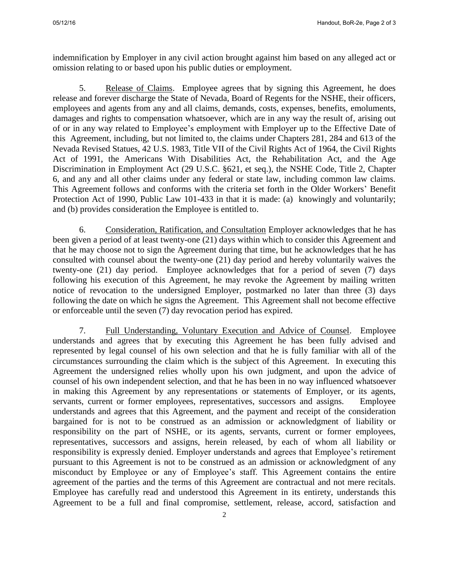indemnification by Employer in any civil action brought against him based on any alleged act or omission relating to or based upon his public duties or employment.

 5. Release of Claims. Employee agrees that by signing this Agreement, he does release and forever discharge the State of Nevada, Board of Regents for the NSHE, their officers, employees and agents from any and all claims, demands, costs, expenses, benefits, emoluments, damages and rights to compensation whatsoever, which are in any way the result of, arising out of or in any way related to Employee's employment with Employer up to the Effective Date of this Agreement, including, but not limited to, the claims under Chapters 281, 284 and 613 of the Nevada Revised Statues, 42 U.S. 1983, Title VII of the Civil Rights Act of 1964, the Civil Rights Act of 1991, the Americans With Disabilities Act, the Rehabilitation Act, and the Age Discrimination in Employment Act (29 U.S.C. §621, et seq.), the NSHE Code, Title 2, Chapter 6, and any and all other claims under any federal or state law, including common law claims. This Agreement follows and conforms with the criteria set forth in the Older Workers' Benefit Protection Act of 1990, Public Law 101-433 in that it is made: (a) knowingly and voluntarily; and (b) provides consideration the Employee is entitled to.

 6. Consideration, Ratification, and Consultation Employer acknowledges that he has been given a period of at least twenty-one (21) days within which to consider this Agreement and that he may choose not to sign the Agreement during that time, but he acknowledges that he has consulted with counsel about the twenty-one (21) day period and hereby voluntarily waives the twenty-one (21) day period. Employee acknowledges that for a period of seven (7) days following his execution of this Agreement, he may revoke the Agreement by mailing written notice of revocation to the undersigned Employer, postmarked no later than three (3) days following the date on which he signs the Agreement. This Agreement shall not become effective or enforceable until the seven (7) day revocation period has expired.

 7. Full Understanding, Voluntary Execution and Advice of Counsel. Employee understands and agrees that by executing this Agreement he has been fully advised and represented by legal counsel of his own selection and that he is fully familiar with all of the circumstances surrounding the claim which is the subject of this Agreement. In executing this Agreement the undersigned relies wholly upon his own judgment, and upon the advice of counsel of his own independent selection, and that he has been in no way influenced whatsoever in making this Agreement by any representations or statements of Employer, or its agents, servants, current or former employees, representatives, successors and assigns. Employee understands and agrees that this Agreement, and the payment and receipt of the consideration bargained for is not to be construed as an admission or acknowledgment of liability or responsibility on the part of NSHE, or its agents, servants, current or former employees, representatives, successors and assigns, herein released, by each of whom all liability or responsibility is expressly denied. Employer understands and agrees that Employee's retirement pursuant to this Agreement is not to be construed as an admission or acknowledgment of any misconduct by Employee or any of Employee's staff. This Agreement contains the entire agreement of the parties and the terms of this Agreement are contractual and not mere recitals. Employee has carefully read and understood this Agreement in its entirety, understands this Agreement to be a full and final compromise, settlement, release, accord, satisfaction and